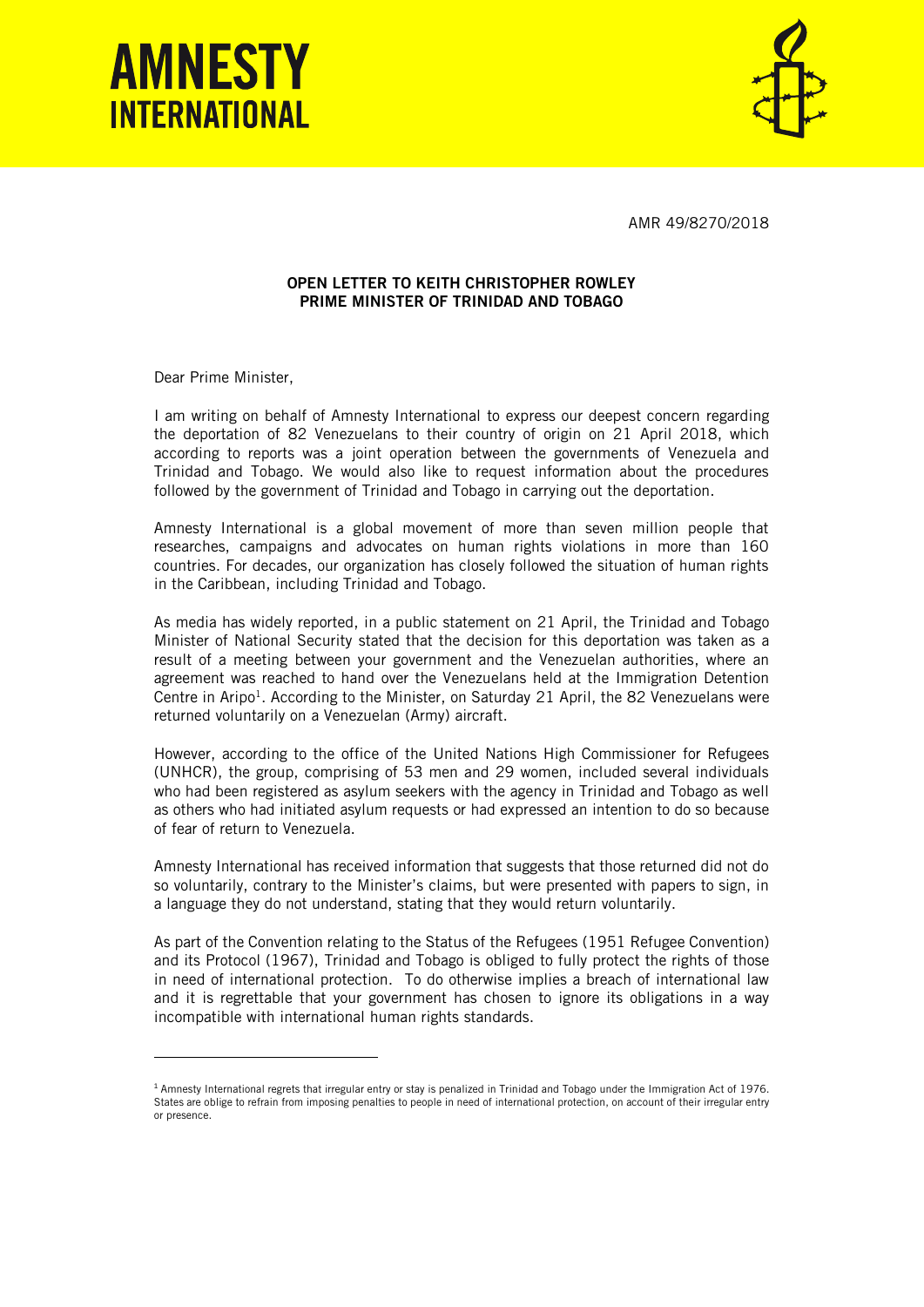



AMR 49/8270/2018

## OPEN LETTER TO KEITH CHRISTOPHER ROWLEY PRIME MINISTER OF TRINIDAD AND TOBAGO

Dear Prime Minister,

ł

I am writing on behalf of Amnesty International to express our deepest concern regarding the deportation of 82 Venezuelans to their country of origin on 21 April 2018, which according to reports was a joint operation between the governments of Venezuela and Trinidad and Tobago. We would also like to request information about the procedures followed by the government of Trinidad and Tobago in carrying out the deportation.

Amnesty International is a global movement of more than seven million people that researches, campaigns and advocates on human rights violations in more than 160 countries. For decades, our organization has closely followed the situation of human rights in the Caribbean, including Trinidad and Tobago.

As media has widely reported, in a public statement on 21 April, the Trinidad and Tobago Minister of National Security stated that the decision for this deportation was taken as a result of a meeting between your government and the Venezuelan authorities, where an agreement was reached to hand over the Venezuelans held at the Immigration Detention Centre in Aripo<sup>1</sup>. According to the Minister, on Saturday 21 April, the 82 Venezuelans were returned voluntarily on a Venezuelan (Army) aircraft.

However, according to the office of the United Nations High Commissioner for Refugees (UNHCR), the group, comprising of 53 men and 29 women, included several individuals who had been registered as asylum seekers with the agency in Trinidad and Tobago as well as others who had initiated asylum requests or had expressed an intention to do so because of fear of return to Venezuela.

Amnesty International has received information that suggests that those returned did not do so voluntarily, contrary to the Minister's claims, but were presented with papers to sign, in a language they do not understand, stating that they would return voluntarily.

As part of the Convention relating to the Status of the Refugees (1951 Refugee Convention) and its Protocol (1967), Trinidad and Tobago is obliged to fully protect the rights of those in need of international protection. To do otherwise implies a breach of international law and it is regrettable that your government has chosen to ignore its obligations in a way incompatible with international human rights standards.

<sup>1</sup> Amnesty International regrets that irregular entry or stay is penalized in Trinidad and Tobago under the Immigration Act of 1976. States are oblige to refrain from imposing penalties to people in need of international protection, on account of their irregular entry or presence.